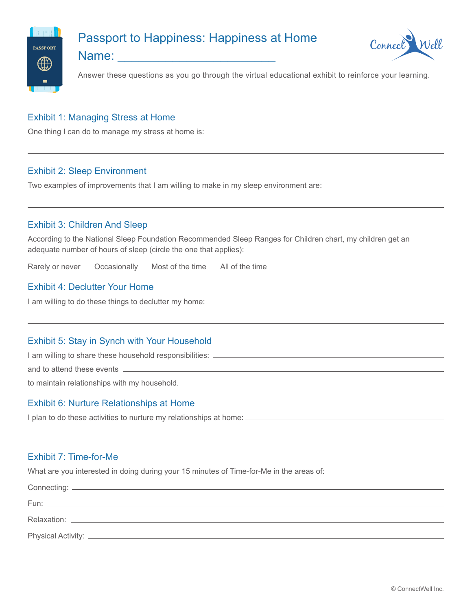

# Passport to Happiness: Happiness at Home



Name:  $\Box$ 

Answer these questions as you go through the virtual educational exhibit to reinforce your learning.

# Exhibit 1: Managing Stress at Home

One thing I can do to manage my stress at home is:

## Exhibit 2: Sleep Environment

Two examples of improvements that I am willing to make in my sleep environment are:

## Exhibit 3: Children And Sleep

According to the National Sleep Foundation Recommended Sleep Ranges for Children chart, my children get an adequate number of hours of sleep (circle the one that applies):

Rarely or never Occasionally Most of the time All of the time

#### Exhibit 4: Declutter Your Home

I am willing to do these things to declutter my home:  $\equiv$ 

#### Exhibit 5: Stay in Synch with Your Household

I am willing to share these household responsibilities:  $\frac{1}{1}$ 

and to attend these events \_

to maintain relationships with my household.

#### Exhibit 6: Nurture Relationships at Home

I plan to do these activities to nurture my relationships at home:

## Exhibit 7: Time-for-Me

What are you interested in doing during your 15 minutes of Time-for-Me in the areas of:

| Connecting: _        |  |  |
|----------------------|--|--|
| Fun:                 |  |  |
|                      |  |  |
| Physical Activity: _ |  |  |